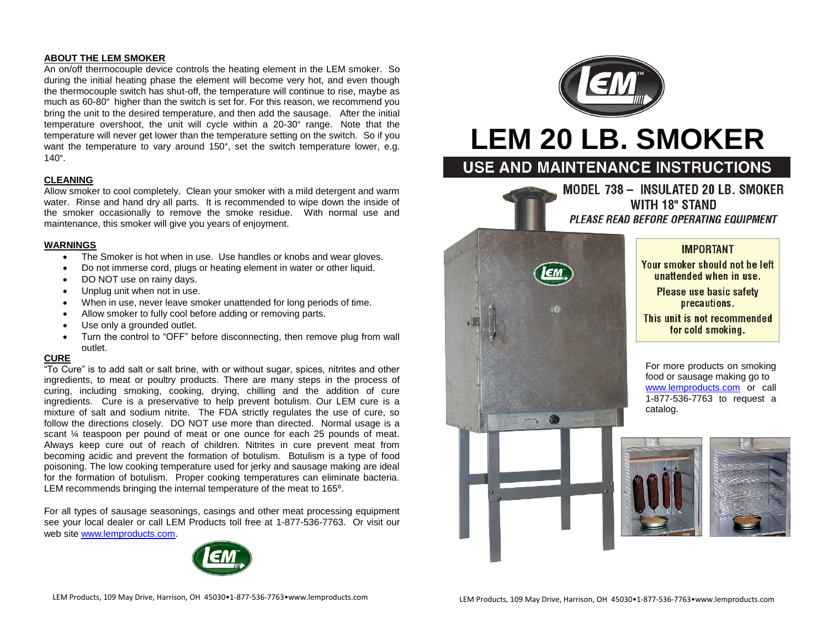# **ABOUT THE LEM SMOKER**

An on/off thermocouple device controls the heating element in the LEM smoker. So during the initial heating phase the element will become very hot, and even though the thermocouple switch has shut-off, the temperature will continue to rise, maybe as much as 60-80° higher than the switch is set for. For this reason, we recommend you bring the unit to the desired temperature, and then add the sausage. After the initial temperature overshoot, the unit will cycle within a 20-30° range. Note that the temperature will never get lower than the temperature setting on the switch. So if you want the temperature to vary around 150°, set the switch temperature lower, e.g. 140°.

# **CLEANING**

Allow smoker to cool completely. Clean your smoker with a mild detergent and warm water. Rinse and hand dry all parts. It is recommended to wipe down the inside of the smoker occasionally to remove the smoke residue. With normal use and maintenance, this smoker will give you years of enjoyment.

# **WARNINGS**

- The Smoker is hot when in use. Use handles or knobs and wear gloves.
- Do not immerse cord, plugs or heating element in water or other liquid.
- DO NOT use on rainy days.
- Unplug unit when not in use.
- When in use, never leave smoker unattended for long periods of time.
- Allow smoker to fully cool before adding or removing parts.
- Use only a grounded outlet.
- Turn the control to "OFF" before disconnecting, then remove plug from wall outlet.

# **CURE**

"To Cure" is to add salt or salt brine, with or without sugar, spices, nitrites and other ingredients, to meat or poultry products. There are many steps in the process of curing, including smoking, cooking, drying, chilling and the addition of cure ingredients. Cure is a preservative to help prevent botulism. Our LEM cure is a mixture of salt and sodium nitrite. The FDA strictly regulates the use of cure, so follow the directions closely. DO NOT use more than directed. Normal usage is a scant ¼ teaspoon per pound of meat or one ounce for each 25 pounds of meat. Always keep cure out of reach of children. Nitrites in cure prevent meat from becoming acidic and prevent the formation of botulism. Botulism is a type of food poisoning. The low cooking temperature used for jerky and sausage making are ideal for the formation of botulism. Proper cooking temperatures can eliminate bacteria. LEM recommends bringing the internal temperature of the meat to 165<sup>o</sup>.

For all types of sausage seasonings, casings and other meat processing equipment see your local dealer or call LEM Products toll free at 1-877-536-7763. Or visit our web sit[e www.lemproducts.com.](http://www.lemproducts.com/)





# **LEM 20 LB. SMOKER**

# USE AND MAINTENANCE INSTRUCTIONS

MODEL 738 - INSULATED 20 LB. SMOKER **WITH 18" STAND** PLEASE READ BEFORE OPERATING EQUIPMENT



This unit is not recommended for cold smoking.

For more products on smoking food or sausage making go to [www.lemproducts.com](http://www.lemproducts.com/) or call 1-877-536-7763 to request a catalog.